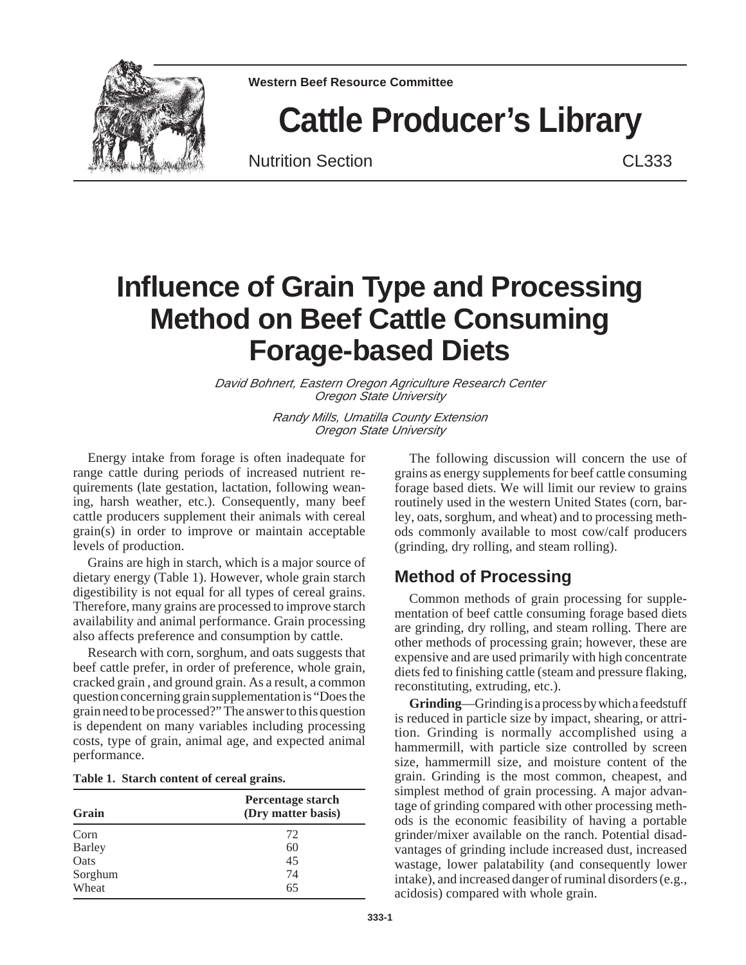

**Western Beef Resource Committee**

# **Cattle Producer's Library**

Nutrition Section **CL333** 

## **Influence of Grain Type and Processing Method on Beef Cattle Consuming Forage-based Diets**

David Bohnert, Eastern Oregon Agriculture Research Center Oregon State University

> Randy Mills, Umatilla County Extension Oregon State University

Energy intake from forage is often inadequate for range cattle during periods of increased nutrient requirements (late gestation, lactation, following weaning, harsh weather, etc.). Consequently, many beef cattle producers supplement their animals with cereal grain(s) in order to improve or maintain acceptable levels of production.

Grains are high in starch, which is a major source of dietary energy (Table 1). However, whole grain starch digestibility is not equal for all types of cereal grains. Therefore, many grains are processed to improve starch availability and animal performance. Grain processing also affects preference and consumption by cattle.

Research with corn, sorghum, and oats suggests that beef cattle prefer, in order of preference, whole grain, cracked grain , and ground grain. As a result, a common question concerning grain supplementation is "Does the grain need to be processed?" The answer to this question is dependent on many variables including processing costs, type of grain, animal age, and expected animal performance.

#### **Table 1. Starch content of cereal grains.**

| Grain         | Percentage starch<br>(Dry matter basis) |  |  |  |
|---------------|-----------------------------------------|--|--|--|
| Corn          | 72                                      |  |  |  |
| <b>Barley</b> | 60                                      |  |  |  |
| Oats          | 45                                      |  |  |  |
| Sorghum       | 74                                      |  |  |  |
| Wheat         | 65                                      |  |  |  |

The following discussion will concern the use of grains as energy supplements for beef cattle consuming forage based diets. We will limit our review to grains routinely used in the western United States (corn, barley, oats, sorghum, and wheat) and to processing methods commonly available to most cow/calf producers (grinding, dry rolling, and steam rolling).

#### **Method of Processing**

Common methods of grain processing for supplementation of beef cattle consuming forage based diets are grinding, dry rolling, and steam rolling. There are other methods of processing grain; however, these are expensive and are used primarily with high concentrate diets fed to finishing cattle (steam and pressure flaking, reconstituting, extruding, etc.).

**Grinding**—Grinding is a process by which a feedstuff is reduced in particle size by impact, shearing, or attrition. Grinding is normally accomplished using a hammermill, with particle size controlled by screen size, hammermill size, and moisture content of the grain. Grinding is the most common, cheapest, and simplest method of grain processing. A major advantage of grinding compared with other processing methods is the economic feasibility of having a portable grinder/mixer available on the ranch. Potential disadvantages of grinding include increased dust, increased wastage, lower palatability (and consequently lower intake), and increased danger of ruminal disorders (e.g., acidosis) compared with whole grain.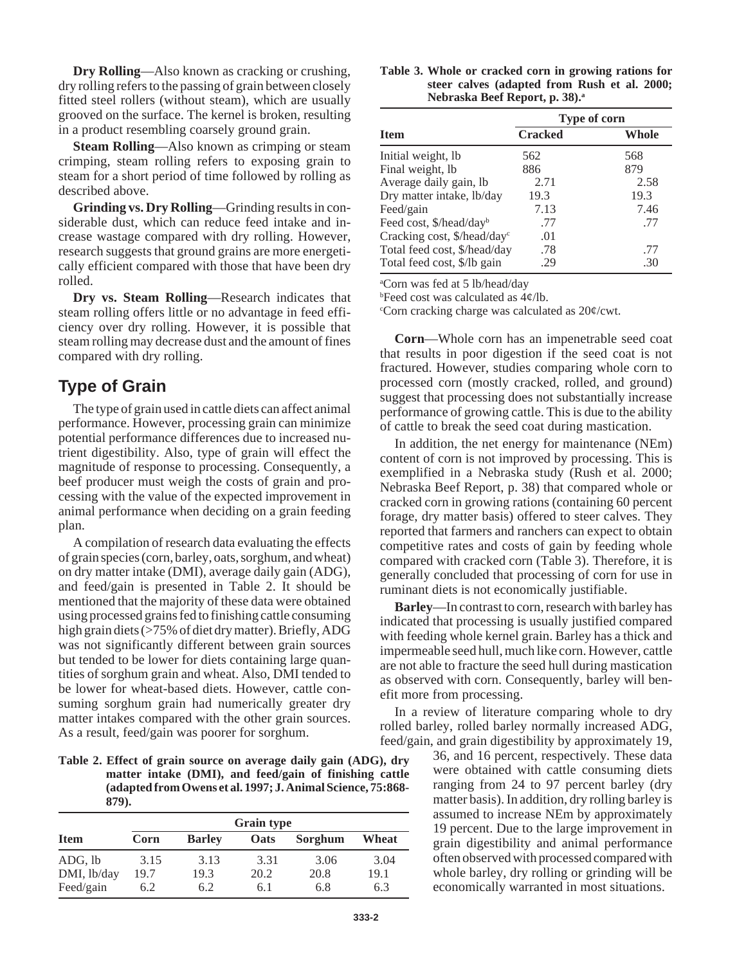**Dry Rolling**—Also known as cracking or crushing, dry rolling refers to the passing of grain between closely fitted steel rollers (without steam), which are usually grooved on the surface. The kernel is broken, resulting in a product resembling coarsely ground grain.

**Steam Rolling**—Also known as crimping or steam crimping, steam rolling refers to exposing grain to steam for a short period of time followed by rolling as described above.

**Grinding vs. Dry Rolling**—Grinding results in considerable dust, which can reduce feed intake and increase wastage compared with dry rolling. However, research suggests that ground grains are more energetically efficient compared with those that have been dry rolled.

**Dry vs. Steam Rolling**—Research indicates that steam rolling offers little or no advantage in feed efficiency over dry rolling. However, it is possible that steam rolling may decrease dust and the amount of fines compared with dry rolling.

#### **Type of Grain**

The type of grain used in cattle diets can affect animal performance. However, processing grain can minimize potential performance differences due to increased nutrient digestibility. Also, type of grain will effect the magnitude of response to processing. Consequently, a beef producer must weigh the costs of grain and processing with the value of the expected improvement in animal performance when deciding on a grain feeding plan.

A compilation of research data evaluating the effects of grain species (corn, barley, oats, sorghum, and wheat) on dry matter intake (DMI), average daily gain (ADG), and feed/gain is presented in Table 2. It should be mentioned that the majority of these data were obtained using processed grains fed to finishing cattle consuming high grain diets (>75% of diet dry matter). Briefly, ADG was not significantly different between grain sources but tended to be lower for diets containing large quantities of sorghum grain and wheat. Also, DMI tended to be lower for wheat-based diets. However, cattle consuming sorghum grain had numerically greater dry matter intakes compared with the other grain sources. As a result, feed/gain was poorer for sorghum.

| Table 2. Effect of grain source on average daily gain (ADG), dry |
|------------------------------------------------------------------|
| matter intake (DMI), and feed/gain of finishing cattle           |
| (adapted from Owens et al. 1997; J. Animal Science, 75:868-      |
| 879).                                                            |

|             | <b>Grain type</b> |               |             |         |       |  |
|-------------|-------------------|---------------|-------------|---------|-------|--|
| <b>Item</b> | Corn              | <b>Barley</b> | <b>Oats</b> | Sorghum | Wheat |  |
| ADG, lb     | 3.15              | 3.13          | 3.31        | 3.06    | 3.04  |  |
| DMI, lb/day | 19.7              | 19.3          | 20.2        | 20.8    | 19.1  |  |
| Feed/gain   | 6.2               | 6.2           | 6.1         | 6.8     | 6.3   |  |

| Table 3. Whole or cracked corn in growing rations for |
|-------------------------------------------------------|
| steer calves (adapted from Rush et al. 2000;          |
| Nebraska Beef Report, p. 38). <sup>a</sup>            |

|                                         | Type of corn   |       |  |  |  |
|-----------------------------------------|----------------|-------|--|--|--|
| <b>Item</b>                             | <b>Cracked</b> | Whole |  |  |  |
| Initial weight, lb                      | 562            | 568   |  |  |  |
| Final weight, lb                        | 886            | 879   |  |  |  |
| Average daily gain, lb                  | 2.71           | 2.58  |  |  |  |
| Dry matter intake, lb/day               | 19.3           | 19.3  |  |  |  |
| Feed/gain                               | 7.13           | 7.46  |  |  |  |
| Feed cost, \$/head/dayb                 | .77            | .77   |  |  |  |
| Cracking cost, \$/head/day <sup>c</sup> | .01            |       |  |  |  |
| Total feed cost, \$/head/day            | .78            | .77   |  |  |  |
| Total feed cost, \$/lb gain             | 29             | .30   |  |  |  |

a Corn was fed at 5 lb/head/day

b Feed cost was calculated as 4¢/lb.

Corn cracking charge was calculated as 20¢/cwt.

**Corn**—Whole corn has an impenetrable seed coat that results in poor digestion if the seed coat is not fractured. However, studies comparing whole corn to processed corn (mostly cracked, rolled, and ground) suggest that processing does not substantially increase performance of growing cattle. This is due to the ability of cattle to break the seed coat during mastication.

In addition, the net energy for maintenance (NEm) content of corn is not improved by processing. This is exemplified in a Nebraska study (Rush et al. 2000; Nebraska Beef Report, p. 38) that compared whole or cracked corn in growing rations (containing 60 percent forage, dry matter basis) offered to steer calves. They reported that farmers and ranchers can expect to obtain competitive rates and costs of gain by feeding whole compared with cracked corn (Table 3). Therefore, it is generally concluded that processing of corn for use in ruminant diets is not economically justifiable.

**Barley**—In contrast to corn, research with barley has indicated that processing is usually justified compared with feeding whole kernel grain. Barley has a thick and impermeable seed hull, much like corn. However, cattle are not able to fracture the seed hull during mastication as observed with corn. Consequently, barley will benefit more from processing.

In a review of literature comparing whole to dry rolled barley, rolled barley normally increased ADG, feed/gain, and grain digestibility by approximately 19,

> 36, and 16 percent, respectively. These data were obtained with cattle consuming diets ranging from 24 to 97 percent barley (dry matter basis). In addition, dry rolling barley is assumed to increase NEm by approximately 19 percent. Due to the large improvement in grain digestibility and animal performance often observed with processed compared with whole barley, dry rolling or grinding will be economically warranted in most situations.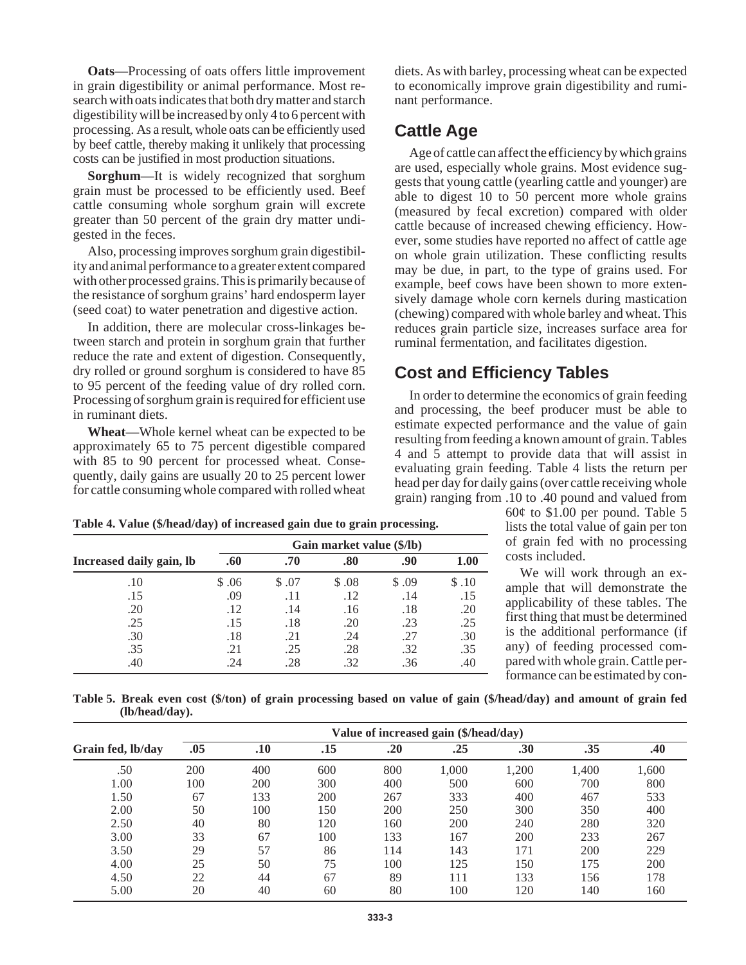**Oats**—Processing of oats offers little improvement in grain digestibility or animal performance. Most research with oats indicates that both dry matter and starch digestibility will be increased by only 4 to 6 percent with processing. As a result, whole oats can be efficiently used by beef cattle, thereby making it unlikely that processing costs can be justified in most production situations.

**Sorghum**—It is widely recognized that sorghum grain must be processed to be efficiently used. Beef cattle consuming whole sorghum grain will excrete greater than 50 percent of the grain dry matter undigested in the feces.

Also, processing improves sorghum grain digestibility and animal performance to a greater extent compared with other processed grains. This is primarily because of the resistance of sorghum grains' hard endosperm layer (seed coat) to water penetration and digestive action.

In addition, there are molecular cross-linkages between starch and protein in sorghum grain that further reduce the rate and extent of digestion. Consequently, dry rolled or ground sorghum is considered to have 85 to 95 percent of the feeding value of dry rolled corn. Processing of sorghum grain is required for efficient use in ruminant diets.

**Wheat**—Whole kernel wheat can be expected to be approximately 65 to 75 percent digestible compared with 85 to 90 percent for processed wheat. Consequently, daily gains are usually 20 to 25 percent lower for cattle consuming whole compared with rolled wheat diets. As with barley, processing wheat can be expected to economically improve grain digestibility and ruminant performance.

#### **Cattle Age**

Age of cattle can affect the efficiency by which grains are used, especially whole grains. Most evidence suggests that young cattle (yearling cattle and younger) are able to digest 10 to 50 percent more whole grains (measured by fecal excretion) compared with older cattle because of increased chewing efficiency. However, some studies have reported no affect of cattle age on whole grain utilization. These conflicting results may be due, in part, to the type of grains used. For example, beef cows have been shown to more extensively damage whole corn kernels during mastication (chewing) compared with whole barley and wheat. This reduces grain particle size, increases surface area for ruminal fermentation, and facilitates digestion.

### **Cost and Efficiency Tables**

In order to determine the economics of grain feeding and processing, the beef producer must be able to estimate expected performance and the value of gain resulting from feeding a known amount of grain. Tables 4 and 5 attempt to provide data that will assist in evaluating grain feeding. Table 4 lists the return per head per day for daily gains (over cattle receiving whole grain) ranging from .10 to .40 pound and valued from

**Table 4. Value (\$/head/day) of increased gain due to grain processing.**

**Increased daily gain, lb .60 .70 .80 .90 1.00**

.10 \$ .06 \$ .07 \$ .08 \$ .09 \$ .10 .15 .09 .11 .12 .14 .15 .20 .12 .14 .16 .18 .20 .25 .15 .18 .20 .23 .25 .30 .18 .21 .24 .27 .30 .35 .21 .25 .28 .32 .35 .40 .24 .28 .32 .36 .40  $60¢$  to \$1.00 per pound. Table 5 lists the total value of gain per ton of grain fed with no processing costs included.

We will work through an example that will demonstrate the applicability of these tables. The first thing that must be determined is the additional performance (if any) of feeding processed compared with whole grain. Cattle performance can be estimated by con-

**Table 5. Break even cost (\$/ton) of grain processing based on value of gain (\$/head/day) and amount of grain fed (lb/head/day).**

**Gain market value (\$/lb)**

|                   | Value of increased gain (\$/head/day) |     |     |     |       |       |       |       |
|-------------------|---------------------------------------|-----|-----|-----|-------|-------|-------|-------|
| Grain fed, lb/day | .05                                   | .10 | .15 | .20 | .25   | .30   | .35   | .40   |
| .50               | 200                                   | 400 | 600 | 800 | 1,000 | 1,200 | 1.400 | 1,600 |
| 1.00              | 100                                   | 200 | 300 | 400 | 500   | 600   | 700   | 800   |
| 1.50              | 67                                    | 133 | 200 | 267 | 333   | 400   | 467   | 533   |
| 2.00              | 50                                    | 100 | 150 | 200 | 250   | 300   | 350   | 400   |
| 2.50              | 40                                    | 80  | 120 | 160 | 200   | 240   | 280   | 320   |
| 3.00              | 33                                    | 67  | 100 | 133 | 167   | 200   | 233   | 267   |
| 3.50              | 29                                    | 57  | 86  | 114 | 143   | 171   | 200   | 229   |
| 4.00              | 25                                    | 50  | 75  | 100 | 125   | 150   | 175   | 200   |
| 4.50              | 22                                    | 44  | 67  | 89  | 111   | 133   | 156   | 178   |
| 5.00              | 20                                    | 40  | 60  | 80  | 100   | 120   | 140   | 160   |